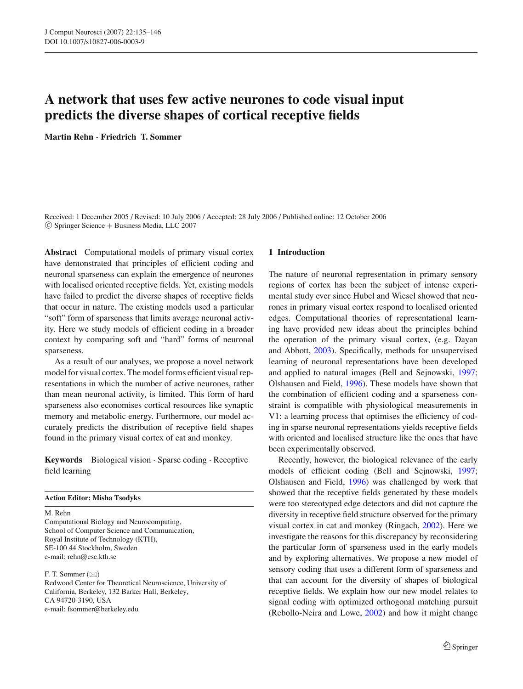# **A network that uses few active neurones to code visual input predicts the diverse shapes of cortical receptive fields**

**Martin Rehn** · **Friedrich T. Sommer**

Received: 1 December 2005 / Revised: 10 July 2006 / Accepted: 28 July 2006 / Published online: 12 October 2006 !<sup>C</sup> Springer Science + Business Media, LLC 2007

**Abstract** Computational models of primary visual cortex have demonstrated that principles of efficient coding and neuronal sparseness can explain the emergence of neurones with localised oriented receptive fields. Yet, existing models have failed to predict the diverse shapes of receptive fields that occur in nature. The existing models used a particular "soft" form of sparseness that limits average neuronal activity. Here we study models of efficient coding in a broader context by comparing soft and "hard" forms of neuronal sparseness.

As a result of our analyses, we propose a novel network model for visual cortex. The model forms efficient visual representations in which the number of active neurones, rather than mean neuronal activity, is limited. This form of hard sparseness also economises cortical resources like synaptic memory and metabolic energy. Furthermore, our model accurately predicts the distribution of receptive field shapes found in the primary visual cortex of cat and monkey.

**Keywords** Biological vision . Sparse coding . Receptive field learning

#### **Action Editor: Misha Tsodyks**

M. Rehn

Computational Biology and Neurocomputing, School of Computer Science and Communication, Royal Institute of Technology (KTH), SE-100 44 Stockholm, Sweden e-mail: rehn@csc.kth.se

F. T. Sommer  $(\boxtimes)$ 

Redwood Center for Theoretical Neuroscience, University of California, Berkeley, 132 Barker Hall, Berkeley, CA 94720-3190, USA e-mail: fsommer@berkeley.edu

## **1 Introduction**

The nature of neuronal representation in primary sensory regions of cortex has been the subject of intense experimental study ever since Hubel and Wiesel showed that neurones in primary visual cortex respond to localised oriented edges. Computational theories of representational learning have provided new ideas about the principles behind the operation of the primary visual cortex, (e.g. Dayan and Abbott, [2003\)](#page-10-0). Specifically, methods for unsupervised learning of neuronal representations have been developed and applied to natural images (Bell and Sejnowski, [1997;](#page-10-1) Olshausen and Field, [1996\)](#page-11-0). These models have shown that the combination of efficient coding and a sparseness constraint is compatible with physiological measurements in V1: a learning process that optimises the efficiency of coding in sparse neuronal representations yields receptive fields with oriented and localised structure like the ones that have been experimentally observed.

Recently, however, the biological relevance of the early models of efficient coding (Bell and Sejnowski, [1997;](#page-10-1) Olshausen and Field, [1996\)](#page-11-0) was challenged by work that showed that the receptive fields generated by these models were too stereotyped edge detectors and did not capture the diversity in receptive field structure observed for the primary visual cortex in cat and monkey (Ringach, [2002\)](#page-11-1). Here we investigate the reasons for this discrepancy by reconsidering the particular form of sparseness used in the early models and by exploring alternatives. We propose a new model of sensory coding that uses a different form of sparseness and that can account for the diversity of shapes of biological receptive fields. We explain how our new model relates to signal coding with optimized orthogonal matching pursuit (Rebollo-Neira and Lowe, [2002\)](#page-11-2) and how it might change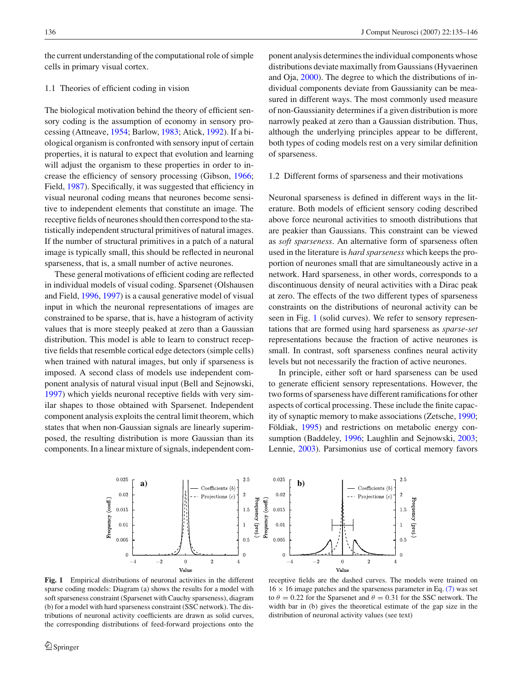the current understanding of the computational role of simple cells in primary visual cortex.

#### 1.1 Theories of efficient coding in vision

The biological motivation behind the theory of efficient sensory coding is the assumption of economy in sensory processing (Attneave, [1954;](#page-10-2) Barlow, [1983;](#page-10-3) Atick, [1992\)](#page-10-4). If a biological organism is confronted with sensory input of certain properties, it is natural to expect that evolution and learning will adjust the organism to these properties in order to increase the efficiency of sensory processing (Gibson, [1966;](#page-10-5) Field, [1987\)](#page-10-6). Specifically, it was suggested that efficiency in visual neuronal coding means that neurones become sensitive to independent elements that constitute an image. The receptive fields of neurones should then correspond to the statistically independent structural primitives of natural images. If the number of structural primitives in a patch of a natural image is typically small, this should be reflected in neuronal sparseness, that is, a small number of active neurones.

These general motivations of efficient coding are reflected in individual models of visual coding. Sparsenet (Olshausen and Field, [1996,](#page-11-0) [1997\)](#page-11-3) is a causal generative model of visual input in which the neuronal representations of images are constrained to be sparse, that is, have a histogram of activity values that is more steeply peaked at zero than a Gaussian distribution. This model is able to learn to construct receptive fields that resemble cortical edge detectors (simple cells) when trained with natural images, but only if sparseness is imposed. A second class of models use independent component analysis of natural visual input (Bell and Sejnowski, [1997\)](#page-10-1) which yields neuronal receptive fields with very similar shapes to those obtained with Sparsenet. Independent component analysis exploits the central limit theorem, which states that when non-Gaussian signals are linearly superimposed, the resulting distribution is more Gaussian than its components. In a linear mixture of signals, independent component analysis determines the individual components whose distributions deviate maximally from Gaussians(Hyvaerinen and Oja, [2000\)](#page-11-4). The degree to which the distributions of individual components deviate from Gaussianity can be measured in different ways. The most commonly used measure of non-Gaussianity determines if a given distribution is more narrowly peaked at zero than a Gaussian distribution. Thus, although the underlying principles appear to be different, both types of coding models rest on a very similar definition of sparseness.

## 1.2 Different forms of sparseness and their motivations

Neuronal sparseness is defined in different ways in the literature. Both models of efficient sensory coding described above force neuronal activities to smooth distributions that are peakier than Gaussians. This constraint can be viewed as *soft sparseness*. An alternative form of sparseness often used in the literature is *hard sparseness* which keeps the proportion of neurones small that are simultaneously active in a network. Hard sparseness, in other words, corresponds to a discontinuous density of neural activities with a Dirac peak at zero. The effects of the two different types of sparseness constraints on the distributions of neuronal activity can be seen in Fig. 1 (solid curves). We refer to sensory representations that are formed using hard sparseness as *sparse-set* representations because the fraction of active neurones is small. In contrast, soft sparseness confines neural activity levels but not necessarily the fraction of active neurones.

In principle, either soft or hard sparseness can be used to generate efficient sensory representations. However, the two forms of sparseness have different ramifications for other aspects of cortical processing. These include the finite capacity of synaptic memory to make associations (Zetsche, [1990;](#page-11-5) Földiak, [1995\)](#page-10-7) and restrictions on metabolic energy consumption (Baddeley, [1996;](#page-10-8) Laughlin and Sejnowski, [2003;](#page-11-6) Lennie, [2003\)](#page-11-7). Parsimonius use of cortical memory favors



<span id="page-1-0"></span>**Fig. 1** Empirical distributions of neuronal activities in the different sparse coding models: Diagram (a) shows the results for a model with soft sparseness constraint (Sparsenet with Cauchy sparseness), diagram (b) for a model with hard sparseness constraint (SSC network). The distributions of neuronal activity coefficients are drawn as solid curves, the corresponding distributions of feed-forward projections onto the

receptive fields are the dashed curves. The models were trained on  $16 \times 16$  image patches and the sparseness parameter in Eq. [\(7\)](#page-4-0) was set to  $\theta = 0.22$  for the Sparsenet and  $\theta = 0.31$  for the SSC network. The width bar in (b) gives the theoretical estimate of the gap size in the distribution of neuronal activity values (see text)

Corran bar.

[bro]  $\overline{1}$ 

 $1.5\,$ 

 $0.5$ 

 $\overline{0}$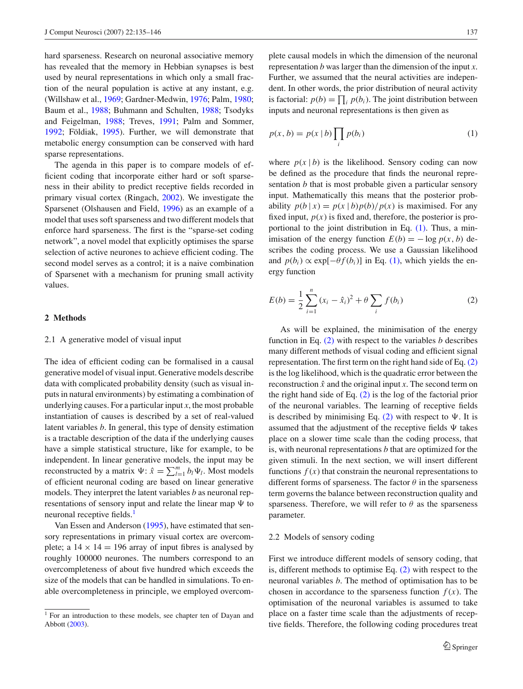hard sparseness. Research on neuronal associative memory has revealed that the memory in Hebbian synapses is best used by neural representations in which only a small fraction of the neural population is active at any instant, e.g. (Willshaw et al., [1969;](#page-11-8) Gardner-Medwin, [1976;](#page-10-9) Palm, [1980;](#page-11-9) Baum et al., [1988;](#page-10-10) Buhmann and Schulten, [1988;](#page-10-11) Tsodyks and Feigelman, [1988;](#page-11-10) Treves, [1991;](#page-11-11) Palm and Sommer, [1992;](#page-11-12) Földiak, [1995\)](#page-10-7). Further, we will demonstrate that metabolic energy consumption can be conserved with hard sparse representations.

The agenda in this paper is to compare models of efficient coding that incorporate either hard or soft sparseness in their ability to predict receptive fields recorded in primary visual cortex (Ringach, [2002\)](#page-11-1). We investigate the Sparsenet (Olshausen and Field, [1996\)](#page-11-0) as an example of a model that uses soft sparseness and two different models that enforce hard sparseness. The first is the "sparse-set coding network", a novel model that explicitly optimises the sparse selection of active neurones to achieve efficient coding. The second model serves as a control; it is a naive combination of Sparsenet with a mechanism for pruning small activity values.

### **2 Methods**

#### 2.1 A generative model of visual input

The idea of efficient coding can be formalised in a causal generative model of visual input. Generative models describe data with complicated probability density (such as visual inputs in natural environments) by estimating a combination of underlying causes. For a particular input *x*, the most probable instantiation of causes is described by a set of real-valued latent variables *b*. In general, this type of density estimation is a tractable description of the data if the underlying causes have a simple statistical structure, like for example, to be independent. In linear generative models, the input may be reconstructed by a matrix  $\Psi$ :  $\hat{x} = \sum_{l=1}^{m} b_l \Psi_l$ . Most models of efficient neuronal coding are based on linear generative models. They interpret the latent variables *b* as neuronal representations of sensory input and relate the linear map  $\Psi$  to neuronal receptive fields.<sup>1</sup>

Van Essen and Anderson [\(1995\)](#page-11-13), have estimated that sensory representations in primary visual cortex are overcomplete; a  $14 \times 14 = 196$  array of input fibres is analysed by roughly 100000 neurones. The numbers correspond to an overcompleteness of about five hundred which exceeds the size of the models that can be handled in simulations. To enable overcompleteness in principle, we employed overcomplete causal models in which the dimension of the neuronal representation *b* was larger than the dimension of the input *x*. Further, we assumed that the neural activities are independent. In other words, the prior distribution of neural activity is factorial:  $p(b) = \prod_i p(b_i)$ . The joint distribution between inputs and neuronal representations is then given as

$$
p(x, b) = p(x | b) \prod_{i} p(b_i)
$$
 (1)

where  $p(x | b)$  is the likelihood. Sensory coding can now be defined as the procedure that finds the neuronal representation *b* that is most probable given a particular sensory input. Mathematically this means that the posterior probability  $p(b | x) = p(x | b)p(b)/p(x)$  is maximised. For any fixed input,  $p(x)$  is fixed and, therefore, the posterior is proportional to the joint distribution in Eq. (1). Thus, a minimisation of the energy function  $E(b) = -\log p(x, b)$  describes the coding process. We use a Gaussian likelihood and  $p(b_i) \propto \exp[-\theta f(b_i)]$  in Eq. (1), which yields the energy function

<span id="page-2-0"></span>
$$
E(b) = \frac{1}{2} \sum_{i=1}^{n} (x_i - \hat{x}_i)^2 + \theta \sum_{i} f(b_i)
$$
 (2)

As will be explained, the minimisation of the energy function in Eq. (2) with respect to the variables *b* describes many different methods of visual coding and efficient signal representation. The first term on the right hand side of Eq. (2) is the log likelihood, which is the quadratic error between the reconstruction  $\hat{x}$  and the original input *x*. The second term on the right hand side of Eq. (2) is the log of the factorial prior of the neuronal variables. The learning of receptive fields is described by minimising Eq.  $(2)$  with respect to  $\Psi$ . It is assumed that the adjustment of the receptive fields  $\Psi$  takes place on a slower time scale than the coding process, that is, with neuronal representations *b* that are optimized for the given stimuli. In the next section, we will insert different functions  $f(x)$  that constrain the neuronal representations to different forms of sparseness. The factor  $\theta$  in the sparseness term governs the balance between reconstruction quality and sparseness. Therefore, we will refer to  $\theta$  as the sparseness parameter.

#### 2.2 Models of sensory coding

First we introduce different models of sensory coding, that is, different methods to optimise Eq. (2) with respect to the neuronal variables *b*. The method of optimisation has to be chosen in accordance to the sparseness function  $f(x)$ . The optimisation of the neuronal variables is assumed to take place on a faster time scale than the adjustments of receptive fields. Therefore, the following coding procedures treat

<sup>&</sup>lt;sup>1</sup> For an introduction to these models, see chapter ten of Dayan and Abbott [\(2003\)](#page-10-0).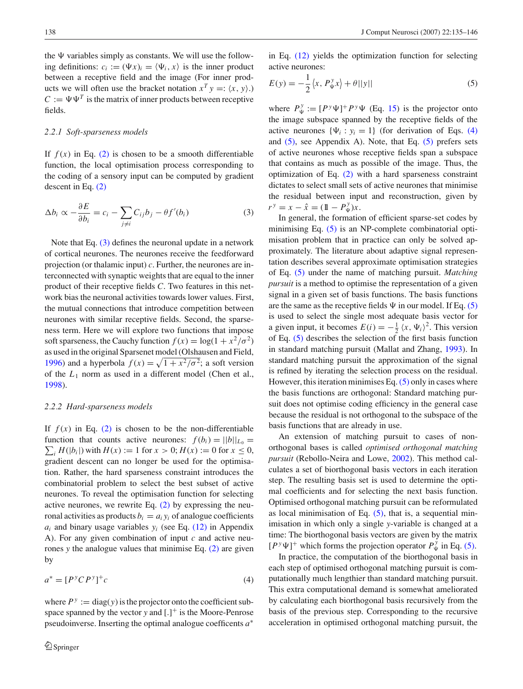the  $\Psi$  variables simply as constants. We will use the following definitions:  $c_i := (\Psi x)_i = \langle \Psi_i, x \rangle$  is the inner product between a receptive field and the image (For inner products we will often use the bracket notation  $x^T y =: \langle x, y \rangle$ .)  $C := \Psi \Psi^{T}$  is the matrix of inner products between receptive fields.

#### *2.2.1 Soft-sparseness models*

If  $f(x)$  in Eq. [\(2\)](#page-2-0) is chosen to be a smooth differentiable function, the local optimisation process corresponding to the coding of a sensory input can be computed by gradient descent in Eq. [\(2\)](#page-2-0)

<span id="page-3-1"></span>
$$
\Delta b_i \propto -\frac{\partial E}{\partial b_i} = c_i - \sum_{j \neq i} C_{ij} b_j - \theta f'(b_i)
$$
 (3)

Note that Eq. (3) defines the neuronal update in a network of cortical neurones. The neurones receive the feedforward projection (or thalamic input) *c*. Further, the neurones are interconnected with synaptic weights that are equal to the inner product of their receptive fields *C*. Two features in this network bias the neuronal activities towards lower values. First, the mutual connections that introduce competition between neurones with similar receptive fields. Second, the sparseness term. Here we will explore two functions that impose soft sparseness, the Cauchy function  $f(x) = \log(1 + x^2/\sigma^2)$ as used in the original Sparsenet model(Olshausen and Field, [1996\)](#page-11-0) and a hyperbola  $f(x) = \sqrt{1 + x^2/\sigma^2}$ ; a soft version of the *L*<sup>1</sup> norm as used in a different model (Chen et al., [1998\)](#page-10-12).

## *2.2.2 Hard-sparseness models*

If  $f(x)$  in Eq. [\(2\)](#page-2-0) is chosen to be the non-differentiable  $\sum_i H(|b_i|)$  with  $H(x) := 1$  for  $x > 0$ ;  $H(x) := 0$  for  $x \le 0$ , function that counts active neurones:  $f(b_i) = ||b||_{L_0}$ gradient descent can no longer be used for the optimisation. Rather, the hard sparseness constraint introduces the combinatorial problem to select the best subset of active neurones. To reveal the optimisation function for selecting active neurones, we rewrite Eq.  $(2)$  by expressing the neuronal activities as products  $b_i = a_i y_i$  of analogue coefficients  $a_i$  and binary usage variables  $y_i$  (see Eq. [\(12\)](#page-9-0) in Appendix A). For any given combination of input *c* and active neurones *y* the analogue values that minimise Eq. [\(2\)](#page-2-0) are given by

$$
a^* = [P^y C P^y]^+ c \tag{4}
$$

<span id="page-3-2"></span>where  $P^y := diag(y)$  is the projector onto the coefficient subspace spanned by the vector *y* and [.] <sup>+</sup> is the Moore-Penrose pseudoinverse. Inserting the optimal analogue coefficents *a*<sup>∗</sup>

in Eq. [\(12\)](#page-9-0) yields the optimization function for selecting active neurones:

$$
E(y) = -\frac{1}{2} \langle x, P_{\Psi}^y x \rangle + \theta ||y|| \tag{5}
$$

<span id="page-3-0"></span>where  $P^y_{\Psi} := [P^y \Psi]^+ P^y \Psi$  (Eq. [15\)](#page-10-13) is the projector onto the image subspace spanned by the receptive fields of the active neurones  $\{\Psi_i : y_i = 1\}$  (for derivation of Eqs. (4) and  $(5)$ , see Appendix A). Note, that Eq.  $(5)$  prefers sets of active neurones whose receptive fields span a subspace that contains as much as possible of the image. Thus, the optimization of Eq.  $(2)$  with a hard sparseness constraint dictates to select small sets of active neurones that minimise the residual between input and reconstruction, given by  $r^y = x - \hat{x} = (1 - P^y_\Psi)x.$ 

In general, the formation of efficient sparse-set codes by minimising Eq. (5) is an NP-complete combinatorial optimisation problem that in practice can only be solved approximately. The literature about adaptive signal representation describes several approximate optimisation strategies of Eq. (5) under the name of matching pursuit. *Matching pursuit* is a method to optimise the representation of a given signal in a given set of basis functions. The basis functions are the same as the receptive fields  $\Psi$  in our model. If Eq. (5) is used to select the single most adequate basis vector for a given input, it becomes  $E(i) = -\frac{1}{2} \langle x, \Psi_i \rangle^2$ . This version of Eq. (5) describes the selection of the first basis function in standard matching pursuit (Mallat and Zhang, [1993\)](#page-11-14). In standard matching pursuit the approximation of the signal is refined by iterating the selection process on the residual. However, this iteration minimises Eq.  $(5)$  only in cases where the basis functions are orthogonal: Standard matching pursuit does not optimise coding efficiency in the general case because the residual is not orthogonal to the subspace of the basis functions that are already in use.

An extension of matching pursuit to cases of nonorthogonal bases is called *optimised orthogonal matching pursuit* (Rebollo-Neira and Lowe, [2002\)](#page-11-2). This method calculates a set of biorthogonal basis vectors in each iteration step. The resulting basis set is used to determine the optimal coefficients and for selecting the next basis function. Optimised orthogonal matching pursuit can be reformulated as local minimisation of Eq.  $(5)$ , that is, a sequential minimisation in which only a single *y*-variable is changed at a time: The biorthogonal basis vectors are given by the matrix  $[P^y \Psi]^+$  which forms the projection operator  $P^{\hat{y}}_{\Psi}$  in Eq. (5).

In practice, the computation of the biorthogonal basis in each step of optimised orthogonal matching pursuit is computationally much lengthier than standard matching pursuit. This extra computational demand is somewhat ameliorated by calculating each biorthogonal basis recursively from the basis of the previous step. Corresponding to the recursive acceleration in optimised orthogonal matching pursuit, the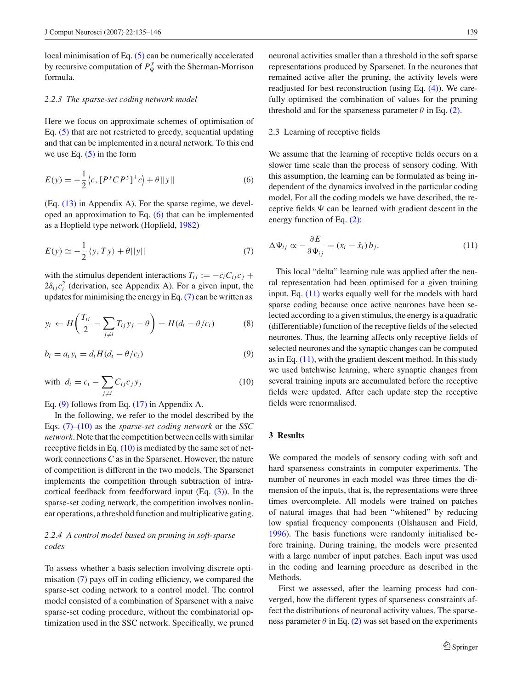local minimisation of Eq. [\(5\)](#page-3-0) can be numerically accelerated by recursive computation of  $P^{\mathcal{Y}}_{\Psi}$  with the Sherman-Morrison formula.

## *2.2.3 The sparse-set coding network model*

Here we focus on approximate schemes of optimisation of Eq. [\(5\)](#page-3-0) that are not restricted to greedy, sequential updating and that can be implemented in a neural network. To this end we use Eq.  $(5)$  in the form

$$
E(y) = -\frac{1}{2} \langle c, [P^y C P^y]^+ c \rangle + \theta ||y|| \tag{6}
$$

<span id="page-4-1"></span> $(Eq. (13)$  $(Eq. (13)$  in Appendix A). For the sparse regime, we developed an approximation to Eq. (6) that can be implemented as a Hopfield type network (Hopfield, [1982\)](#page-10-15)

$$
E(y) \simeq -\frac{1}{2} \langle y, Ty \rangle + \theta ||y|| \tag{7}
$$

<span id="page-4-0"></span>with the stimulus dependent interactions  $T_{ij} := -c_i C_{ij} c_j +$  $2\delta_{ij}c_i^2$  (derivation, see Appendix A). For a given input, the updates for minimising the energy in Eq.  $(7)$  can be written as

$$
y_i \leftarrow H\left(\frac{T_{ii}}{2} - \sum_{j \neq i} T_{ij} y_j - \theta\right) = H(d_i - \theta/c_i)
$$
 (8)

<span id="page-4-3"></span>
$$
b_i = a_i y_i = d_i H(d_i - \theta/c_i)
$$
\n<sup>(9)</sup>

with 
$$
d_i = c_i - \sum_{j \neq i} C_{ij} c_j y_j
$$
 (10)

<span id="page-4-2"></span>Eq. (9) follows from Eq. [\(17\)](#page-10-16) in Appendix A.

In the following, we refer to the model described by the Eqs. (7)–(10) as the *sparse-set coding network* or the *SSC network*. Note that the competition between cells with similar receptive fields in Eq.  $(10)$  is mediated by the same set of network connections *C* as in the Sparsenet. However, the nature of competition is different in the two models. The Sparsenet implements the competition through subtraction of intracortical feedback from feedforward input  $(Eq. (3))$  $(Eq. (3))$ . In the sparse-set coding network, the competition involves nonlinear operations, a threshold function and multiplicative gating.

# *2.2.4 A control model based on pruning in soft-sparse codes*

To assess whether a basis selection involving discrete optimisation (7) pays off in coding efficiency, we compared the sparse-set coding network to a control model. The control model consisted of a combination of Sparsenet with a naive sparse-set coding procedure, without the combinatorial optimization used in the SSC network. Specifically, we pruned neuronal activities smaller than a threshold in the soft sparse representations produced by Sparsenet. In the neurones that remained active after the pruning, the activity levels were readjusted for best reconstruction (using Eq. [\(4\)\)](#page-3-2). We carefully optimised the combination of values for the pruning threshold and for the sparseness parameter  $\theta$  in Eq. [\(2\).](#page-2-0)

#### 2.3 Learning of receptive fields

We assume that the learning of receptive fields occurs on a slower time scale than the process of sensory coding. With this assumption, the learning can be formulated as being independent of the dynamics involved in the particular coding model. For all the coding models we have described, the receptive fields  $\Psi$  can be learned with gradient descent in the energy function of Eq. [\(2\):](#page-2-0)

$$
\Delta \Psi_{ij} \propto -\frac{\partial E}{\partial \Psi_{ij}} = (x_i - \hat{x}_i) b_j.
$$
 (11)

This local "delta" learning rule was applied after the neural representation had been optimised for a given training input. Eq. (11) works equally well for the models with hard sparse coding because once active neurones have been selected according to a given stimulus, the energy is a quadratic (differentiable) function of the receptive fields of the selected neurones. Thus, the learning affects only receptive fields of selected neurones and the synaptic changes can be computed as in Eq.  $(11)$ , with the gradient descent method. In this study we used batchwise learning, where synaptic changes from several training inputs are accumulated before the receptive fields were updated. After each update step the receptive fields were renormalised.

## **3 Results**

We compared the models of sensory coding with soft and hard sparseness constraints in computer experiments. The number of neurones in each model was three times the dimension of the inputs, that is, the representations were three times overcomplete. All models were trained on patches of natural images that had been "whitened" by reducing low spatial frequency components (Olshausen and Field, [1996\)](#page-11-0). The basis functions were randomly initialised before training. During training, the models were presented with a large number of input patches. Each input was used in the coding and learning procedure as described in the Methods.

First we assessed, after the learning process had converged, how the different types of sparseness constraints affect the distributions of neuronal activity values. The sparseness parameter  $\theta$  in Eq. [\(2\)](#page-2-0) was set based on the experiments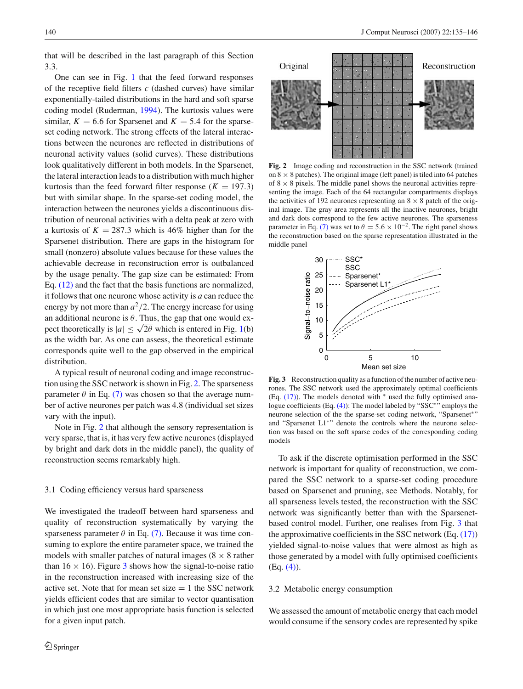that will be described in the last paragraph of this Section 3.3.

One can see in Fig. [1](#page-1-0) that the feed forward responses of the receptive field filters *c* (dashed curves) have similar exponentially-tailed distributions in the hard and soft sparse coding model (Ruderman, [1994\)](#page-11-15). The kurtosis values were similar,  $K = 6.6$  for Sparsenet and  $K = 5.4$  for the sparseset coding network. The strong effects of the lateral interactions between the neurones are reflected in distributions of neuronal activity values (solid curves). These distributions look qualitatively different in both models. In the Sparsenet, the lateral interaction leads to a distribution with much higher kurtosis than the feed forward filter response  $(K = 197.3)$ but with similar shape. In the sparse-set coding model, the interaction between the neurones yields a discontinuous distribution of neuronal activities with a delta peak at zero with a kurtosis of  $K = 287.3$  which is 46% higher than for the Sparsenet distribution. There are gaps in the histogram for small (nonzero) absolute values because for these values the achievable decrease in reconstruction error is outbalanced by the usage penalty. The gap size can be estimated: From Eq. [\(12\)](#page-9-0) and the fact that the basis functions are normalized, it follows that one neurone whose activity is *a* can reduce the energy by not more than  $a^2/2$ . The energy increase for using an additional neurone is  $\theta$ . Thus, the gap that one would expect theoretically is  $|a| \leq \sqrt{2\theta}$  which is entered in Fig. [1\(](#page-1-0)b) as the width bar. As one can assess, the theoretical estimate corresponds quite well to the gap observed in the empirical distribution.

A typical result of neuronal coding and image reconstruction using the SSC network is shown in Fig. 2. The sparseness parameter  $\theta$  in Eq. [\(7\)](#page-4-0) was chosen so that the average number of active neurones per patch was 4.8 (individual set sizes vary with the input).

Note in Fig. 2 that although the sensory representation is very sparse, that is, it has very few active neurones(displayed by bright and dark dots in the middle panel), the quality of reconstruction seems remarkably high.

#### 3.1 Coding efficiency versus hard sparseness

We investigated the tradeoff between hard sparseness and quality of reconstruction systematically by varying the sparseness parameter  $\theta$  in Eq. [\(7\).](#page-4-0) Because it was time consuming to explore the entire parameter space, we trained the models with smaller patches of natural images  $(8 \times 8 \text{ rather})$ than  $16 \times 16$ ). Figure 3 shows how the signal-to-noise ratio in the reconstruction increased with increasing size of the active set. Note that for mean set size  $= 1$  the SSC network yields efficient codes that are similar to vector quantisation in which just one most appropriate basis function is selected for a given input patch.



**Fig. 2** Image coding and reconstruction in the SSC network (trained on  $8 \times 8$  patches). The original image (left panel) is tiled into 64 patches of  $8 \times 8$  pixels. The middle panel shows the neuronal activities representing the image. Each of the 64 rectangular compartments displays the activities of 192 neurones representing an  $8 \times 8$  patch of the original image. The gray area represents all the inactive neurones, bright and dark dots correspond to the few active neurones. The sparseness parameter in Eq. [\(7\)](#page-4-0) was set to  $\theta = 5.6 \times 10^{-2}$ . The right panel shows the reconstruction based on the sparse representation illustrated in the middle panel



**Fig. 3** Reconstruction quality as a function of the number of active neurones. The SSC network used the approximately optimal coefficients (Eq.  $(17)$ ). The models denoted with  $*$  used the fully optimised analogue coefficients (Eq. [\(4\)\)](#page-3-2): The model labeled by "SSC∗" employs the neurone selection of the the sparse-set coding network, "Sparsenet∗" and "Sparsenet L1∗" denote the controls where the neurone selection was based on the soft sparse codes of the corresponding coding models

To ask if the discrete optimisation performed in the SSC network is important for quality of reconstruction, we compared the SSC network to a sparse-set coding procedure based on Sparsenet and pruning, see Methods. Notably, for all sparseness levels tested, the reconstruction with the SSC network was significantly better than with the Sparsenetbased control model. Further, one realises from Fig. 3 that the approximative coefficients in the SSC network (Eq. [\(17\)\)](#page-10-16) yielded signal-to-noise values that were almost as high as those generated by a model with fully optimised coefficients (Eq. [\(4\)\)](#page-3-2).

## 3.2 Metabolic energy consumption

We assessed the amount of metabolic energy that each model would consume if the sensory codes are represented by spike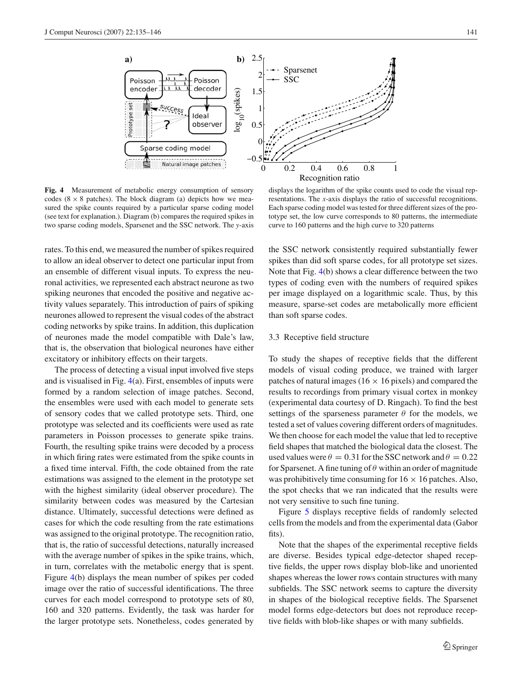

**Fig. 4** Measurement of metabolic energy consumption of sensory codes ( $8 \times 8$  patches). The block diagram (a) depicts how we measured the spike counts required by a particular sparse coding model (see text for explanation.). Diagram (b) compares the required spikes in two sparse coding models, Sparsenet and the SSC network. The *y*-axis

displays the logarithm of the spike counts used to code the visual representations. The *x*-axis displays the ratio of successful recognitions. Each sparse coding model was tested for three different sizes of the prototype set, the low curve corresponds to 80 patterns, the intermediate curve to 160 patterns and the high curve to 320 patterns

rates. To this end, we measured the number of spikes required to allow an ideal observer to detect one particular input from an ensemble of different visual inputs. To express the neuronal activities, we represented each abstract neurone as two spiking neurones that encoded the positive and negative activity values separately. This introduction of pairs of spiking neurones allowed to represent the visual codes of the abstract coding networks by spike trains. In addition, this duplication of neurones made the model compatible with Dale's law, that is, the observation that biological neurones have either excitatory or inhibitory effects on their targets.

The process of detecting a visual input involved five steps and is visualised in Fig.  $4(a)$ . First, ensembles of inputs were formed by a random selection of image patches. Second, the ensembles were used with each model to generate sets of sensory codes that we called prototype sets. Third, one prototype was selected and its coefficients were used as rate parameters in Poisson processes to generate spike trains. Fourth, the resulting spike trains were decoded by a process in which firing rates were estimated from the spike counts in a fixed time interval. Fifth, the code obtained from the rate estimations was assigned to the element in the prototype set with the highest similarity (ideal observer procedure). The similarity between codes was measured by the Cartesian distance. Ultimately, successful detections were defined as cases for which the code resulting from the rate estimations was assigned to the original prototype. The recognition ratio, that is, the ratio of successful detections, naturally increased with the average number of spikes in the spike trains, which, in turn, correlates with the metabolic energy that is spent. Figure 4(b) displays the mean number of spikes per coded image over the ratio of successful identifications. The three curves for each model correspond to prototype sets of 80, 160 and 320 patterns. Evidently, the task was harder for the larger prototype sets. Nonetheless, codes generated by the SSC network consistently required substantially fewer spikes than did soft sparse codes, for all prototype set sizes. Note that Fig. 4(b) shows a clear difference between the two types of coding even with the numbers of required spikes per image displayed on a logarithmic scale. Thus, by this measure, sparse-set codes are metabolically more efficient than soft sparse codes.

## 3.3 Receptive field structure

To study the shapes of receptive fields that the different models of visual coding produce, we trained with larger patches of natural images ( $16 \times 16$  pixels) and compared the results to recordings from primary visual cortex in monkey (experimental data courtesy of D. Ringach). To find the best settings of the sparseness parameter  $\theta$  for the models, we tested a set of values covering different orders of magnitudes. We then choose for each model the value that led to receptive field shapes that matched the biological data the closest. The used values were  $\theta = 0.31$  for the SSC network and  $\theta = 0.22$ for Sparsenet. A fine tuning of  $\theta$  within an order of magnitude was prohibitively time consuming for  $16 \times 16$  patches. Also, the spot checks that we ran indicated that the results were not very sensitive to such fine tuning.

Figure [5](#page-7-0) displays receptive fields of randomly selected cells from the models and from the experimental data (Gabor fits).

Note that the shapes of the experimental receptive fields are diverse. Besides typical edge-detector shaped receptive fields, the upper rows display blob-like and unoriented shapes whereas the lower rows contain structures with many subfields. The SSC network seems to capture the diversity in shapes of the biological receptive fields. The Sparsenet model forms edge-detectors but does not reproduce receptive fields with blob-like shapes or with many subfields.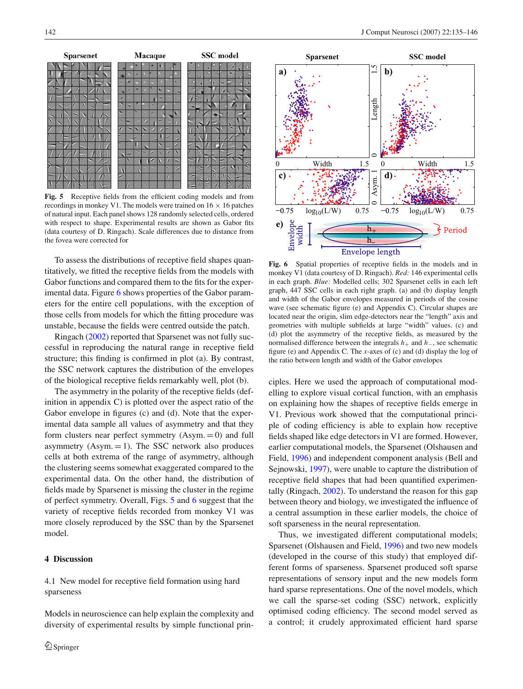<span id="page-7-0"></span>

**Fig. 5** Receptive fields from the efficient coding models and from recordings in monkey V1. The models were trained on  $16 \times 16$  patches of natural input. Each panel shows 128 randomly selected cells, ordered with respect to shape. Experimental results are shown as Gabor fits (data courtesy of D. Ringach). Scale differences due to distance from the fovea were corrected for

To assess the distributions of receptive field shapes quantitatively, we fitted the receptive fields from the models with Gabor functions and compared them to the fits for the experimental data. Figure 6 shows properties of the Gabor parameters for the entire cell populations, with the exception of those cells from models for which the fitting procedure was unstable, because the fields were centred outside the patch.

Ringach [\(2002\)](#page-11-1) reported that Sparsenet was not fully successful in reproducing the natural range in receptive field structure; this finding is confirmed in plot (a). By contrast, the SSC network captures the distribution of the envelopes of the biological receptive fields remarkably well, plot (b).

The asymmetry in the polarity of the receptive fields (definition in appendix C) is plotted over the aspect ratio of the Gabor envelope in figures (c) and (d). Note that the experimental data sample all values of asymmetry and that they form clusters near perfect symmetry  $(Asym. = 0)$  and full asymmetry  $(Asym. = 1)$ . The SSC network also produces cells at both extrema of the range of asymmetry, although the clustering seems somewhat exaggerated compared to the experimental data. On the other hand, the distribution of fields made by Sparsenet is missing the cluster in the regime of perfect symmetry. Overall, Figs. 5 and 6 suggest that the variety of receptive fields recorded from monkey V1 was more closely reproduced by the SSC than by the Sparsenet model.

## **4 Discussion**

4.1 New model for receptive field formation using hard sparseness

Models in neuroscience can help explain the complexity and diversity of experimental results by simple functional prin-

<span id="page-7-1"></span>

**Fig. 6** Spatial properties of receptive fields in the models and in monkey V1 (data courtesy of D. Ringach). *Red:* 146 experimental cells in each graph. *Blue:* Modelled cells; 302 Sparsenet cells in each left graph, 447 SSC cells in each right graph. (a) and (b) display length and width of the Gabor envelopes measured in periods of the cosine wave (see schematic figure (e) and Appendix C). Circular shapes are located near the origin, slim edge-detectors near the "length" axis and geometries with multiple subfields at large "width" values. (c) and (d) plot the asymmetry of the receptive fields, as measured by the normalised difference between the integrals *h*<sup>+</sup> and *h*−, see schematic figure (e) and Appendix C. The *x*-axes of (c) and (d) display the log of the ratio between length and width of the Gabor envelopes

ciples. Here we used the approach of computational modelling to explore visual cortical function, with an emphasis on explaining how the shapes of receptive fields emerge in V1. Previous work showed that the computational principle of coding efficiency is able to explain how receptive fields shaped like edge detectors in V1 are formed. However, earlier computational models, the Sparsenet (Olshausen and Field, [1996\)](#page-11-0) and independent component analysis (Bell and Sejnowski, [1997\)](#page-10-1), were unable to capture the distribution of receptive field shapes that had been quantified experimentally (Ringach, [2002\)](#page-11-1). To understand the reason for this gap between theory and biology, we investigated the influence of a central assumption in these earlier models, the choice of soft sparseness in the neural representation.

Thus, we investigated different computational models; Sparsenet (Olshausen and Field, [1996\)](#page-11-0) and two new models (developed in the course of this study) that employed different forms of sparseness. Sparsenet produced soft sparse representations of sensory input and the new models form hard sparse representations. One of the novel models, which we call the sparse-set coding (SSC) network, explicitly optimised coding efficiency. The second model served as a control; it crudely approximated efficient hard sparse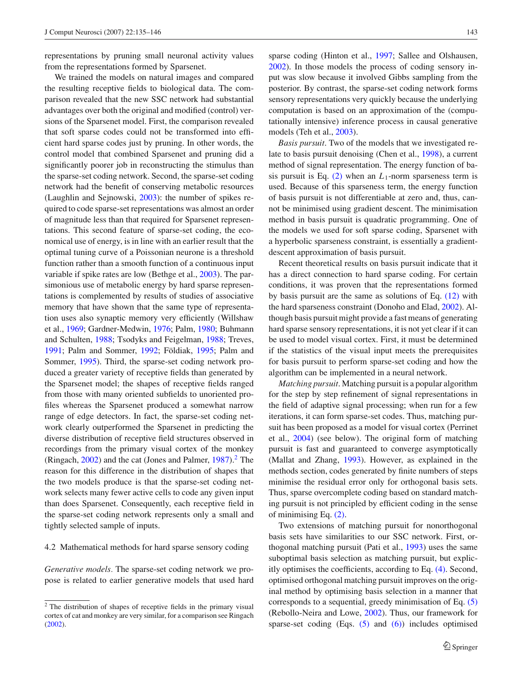representations by pruning small neuronal activity values from the representations formed by Sparsenet.

We trained the models on natural images and compared the resulting receptive fields to biological data. The comparison revealed that the new SSC network had substantial advantages over both the original and modified (control) versions of the Sparsenet model. First, the comparison revealed that soft sparse codes could not be transformed into efficient hard sparse codes just by pruning. In other words, the control model that combined Sparsenet and pruning did a significantly poorer job in reconstructing the stimulus than the sparse-set coding network. Second, the sparse-set coding network had the benefit of conserving metabolic resources (Laughlin and Sejnowski, [2003\)](#page-11-6): the number of spikes required to code sparse-set representations was almost an order of magnitude less than that required for Sparsenet representations. This second feature of sparse-set coding, the economical use of energy, is in line with an earlier result that the optimal tuning curve of a Poissonian neurone is a threshold function rather than a smooth function of a continuous input variable if spike rates are low (Bethge et al., [2003\)](#page-10-17). The parsimonious use of metabolic energy by hard sparse representations is complemented by results of studies of associative memory that have shown that the same type of representation uses also synaptic memory very efficiently (Willshaw et al., [1969;](#page-11-8) Gardner-Medwin, [1976;](#page-10-9) Palm, [1980;](#page-11-9) Buhmann and Schulten, [1988;](#page-10-11) Tsodyks and Feigelman, [1988;](#page-11-10) Treves, [1991;](#page-11-11) Palm and Sommer, [1992;](#page-11-12) Földiak, [1995;](#page-10-7) Palm and Sommer, [1995\)](#page-11-16). Third, the sparse-set coding network produced a greater variety of receptive fields than generated by the Sparsenet model; the shapes of receptive fields ranged from those with many oriented subfields to unoriented profiles whereas the Sparsenet produced a somewhat narrow range of edge detectors. In fact, the sparse-set coding network clearly outperformed the Sparsenet in predicting the diverse distribution of receptive field structures observed in recordings from the primary visual cortex of the monkey (Ringach,  $2002$ ) and the cat (Jones and Palmer,  $1987$ ).<sup>2</sup> The reason for this difference in the distribution of shapes that the two models produce is that the sparse-set coding network selects many fewer active cells to code any given input than does Sparsenet. Consequently, each receptive field in the sparse-set coding network represents only a small and tightly selected sample of inputs.

4.2 Mathematical methods for hard sparse sensory coding

*Generative models.* The sparse-set coding network we propose is related to earlier generative models that used hard

sparse coding (Hinton et al., [1997;](#page-10-18) Sallee and Olshausen, [2002\)](#page-11-18). In those models the process of coding sensory input was slow because it involved Gibbs sampling from the posterior. By contrast, the sparse-set coding network forms sensory representations very quickly because the underlying computation is based on an approximation of the (computationally intensive) inference process in causal generative models (Teh et al., [2003\)](#page-11-19).

*Basis pursuit*. Two of the models that we investigated relate to basis pursuit denoising (Chen et al., [1998\)](#page-10-12), a current method of signal representation. The energy function of basis pursuit is Eq.  $(2)$  when an  $L_1$ -norm sparseness term is used. Because of this sparseness term, the energy function of basis pursuit is not differentiable at zero and, thus, cannot be minimised using gradient descent. The minimisation method in basis pursuit is quadratic programming. One of the models we used for soft sparse coding, Sparsenet with a hyperbolic sparseness constraint, is essentially a gradientdescent approximation of basis pursuit.

Recent theoretical results on basis pursuit indicate that it has a direct connection to hard sparse coding. For certain conditions, it was proven that the representations formed by basis pursuit are the same as solutions of Eq. [\(12\)](#page-9-0) with the hard sparseness constraint (Donoho and Elad, [2002\)](#page-10-19). Although basis pursuit might provide a fast means of generating hard sparse sensory representations, it is not yet clear if it can be used to model visual cortex. First, it must be determined if the statistics of the visual input meets the prerequisites for basis pursuit to perform sparse-set coding and how the algorithm can be implemented in a neural network.

*Matching pursuit*. Matching pursuit is a popular algorithm for the step by step refinement of signal representations in the field of adaptive signal processing; when run for a few iterations, it can form sparse-set codes. Thus, matching pursuit has been proposed as a model for visual cortex (Perrinet et al., [2004\)](#page-11-20) (see below). The original form of matching pursuit is fast and guaranteed to converge asymptotically (Mallat and Zhang, [1993\)](#page-11-14). However, as explained in the methods section, codes generated by finite numbers of steps minimise the residual error only for orthogonal basis sets. Thus, sparse overcomplete coding based on standard matching pursuit is not principled by efficient coding in the sense of minimising Eq. [\(2\).](#page-2-0)

Two extensions of matching pursuit for nonorthogonal basis sets have similarities to our SSC network. First, orthogonal matching pursuit (Pati et al., [1993\)](#page-11-21) uses the same suboptimal basis selection as matching pursuit, but explicitly optimises the coefficients, according to Eq. [\(4\).](#page-3-2) Second, optimised orthogonal matching pursuit improves on the original method by optimising basis selection in a manner that corresponds to a sequential, greedy minimisation of Eq. [\(5\)](#page-3-0) (Rebollo-Neira and Lowe, [2002\)](#page-11-2). Thus, our framework for sparse-set coding (Eqs.  $(5)$  and  $(6)$ ) includes optimised

<sup>&</sup>lt;sup>2</sup> The distribution of shapes of receptive fields in the primary visual cortex of cat and monkey are very similar, for a comparison see Ringach [\(2002\)](#page-11-1).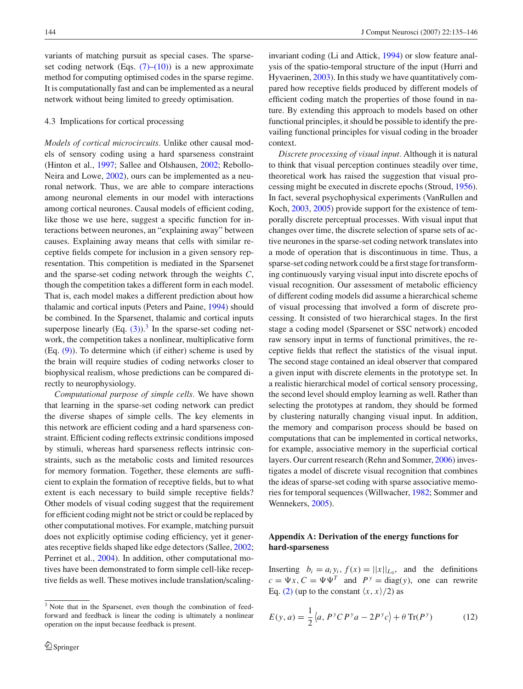variants of matching pursuit as special cases. The sparseset coding network (Eqs.  $(7)$ – $(10)$ ) is a new approximate method for computing optimised codes in the sparse regime. It is computationally fast and can be implemented as a neural network without being limited to greedy optimisation.

## 4.3 Implications for cortical processing

*Models of cortical microcircuits.* Unlike other causal models of sensory coding using a hard sparseness constraint (Hinton et al., [1997;](#page-10-18) Sallee and Olshausen, [2002;](#page-11-18) Rebollo-Neira and Lowe, [2002\)](#page-11-2), ours can be implemented as a neuronal network. Thus, we are able to compare interactions among neuronal elements in our model with interactions among cortical neurones. Causal models of efficient coding, like those we use here, suggest a specific function for interactions between neurones, an "explaining away" between causes. Explaining away means that cells with similar receptive fields compete for inclusion in a given sensory representation. This competition is mediated in the Sparsenet and the sparse-set coding network through the weights *C*, though the competition takes a different form in each model. That is, each model makes a different prediction about how thalamic and cortical inputs (Peters and Paine, [1994\)](#page-11-22) should be combined. In the Sparsenet, thalamic and cortical inputs superpose linearly (Eq.  $(3)$ ).<sup>3</sup> In the sparse-set coding network, the competition takes a nonlinear, multiplicative form (Eq. [\(9\)\)](#page-4-3). To determine which (if either) scheme is used by the brain will require studies of coding networks closer to biophysical realism, whose predictions can be compared directly to neurophysiology.

*Computational purpose of simple cells.* We have shown that learning in the sparse-set coding network can predict the diverse shapes of simple cells. The key elements in this network are efficient coding and a hard sparseness constraint. Efficient coding reflects extrinsic conditionsimposed by stimuli, whereas hard sparseness reflects intrinsic constraints, such as the metabolic costs and limited resources for memory formation. Together, these elements are sufficient to explain the formation of receptive fields, but to what extent is each necessary to build simple receptive fields? Other models of visual coding suggest that the requirement for efficient coding might not be strict or could be replaced by other computational motives. For example, matching pursuit does not explicitly optimise coding efficiency, yet it gener-ates receptive fields shaped like edge detectors (Sallee, [2002;](#page-11-23) Perrinet et al., [2004\)](#page-11-20). In addition, other computational motives have been demonstrated to form simple cell-like receptive fields as well. These motives include translation/scalinginvariant coding (Li and Attick, [1994\)](#page-11-24) or slow feature analysis of the spatio-temporal structure of the input (Hurri and Hyvaerinen, [2003\)](#page-10-20). In this study we have quantitatively compared how receptive fields produced by different models of efficient coding match the properties of those found in nature. By extending this approach to models based on other functional principles, it should be possible to identify the prevailing functional principles for visual coding in the broader context.

*Discrete processing of visual input.* Although it is natural to think that visual perception continues steadily over time, theoretical work has raised the suggestion that visual processing might be executed in discrete epochs (Stroud, [1956\)](#page-11-25). In fact, several psychophysical experiments (VanRullen and Koch, [2003,](#page-11-26) [2005\)](#page-11-27) provide support for the existence of temporally discrete perceptual processes. With visual input that changes over time, the discrete selection of sparse sets of active neurones in the sparse-set coding network translates into a mode of operation that is discontinuous in time. Thus, a sparse-set coding network could be a first stage for transforming continuously varying visual input into discrete epochs of visual recognition. Our assessment of metabolic efficiency of different coding models did assume a hierarchical scheme of visual processing that involved a form of discrete processing. It consisted of two hierarchical stages. In the first stage a coding model (Sparsenet or SSC network) encoded raw sensory input in terms of functional primitives, the receptive fields that reflect the statistics of the visual input. The second stage contained an ideal observer that compared a given input with discrete elements in the prototype set. In a realistic hierarchical model of cortical sensory processing, the second level should employ learning as well. Rather than selecting the prototypes at random, they should be formed by clustering naturally changing visual input. In addition, the memory and comparison process should be based on computations that can be implemented in cortical networks, for example, associative memory in the superficial cortical layers. Our current research (Rehn and Sommer, [2006\)](#page-11-28) investigates a model of discrete visual recognition that combines the ideas of sparse-set coding with sparse associative memories for temporal sequences (Willwacher, [1982;](#page-11-29) Sommer and Wennekers, [2005\)](#page-11-30).

# **Appendix A: Derivation of the energy functions for hard-sparseness**

Inserting  $b_i = a_i y_i$ ,  $f(x) = ||x||_{L_0}$ , and the definitions  $c = \Psi x, C = \Psi \Psi^{T}$  and  $P^{y} = \text{diag}(y)$ , one can rewrite Eq. [\(2\)](#page-2-0) (up to the constant  $\langle x, x \rangle/2$ ) as

<span id="page-9-0"></span>
$$
E(y, a) = \frac{1}{2} \langle a, P^y C P^y a - 2P^y c \rangle + \theta \operatorname{Tr}(P^y)
$$
 (12)

<sup>&</sup>lt;sup>3</sup> Note that in the Sparsenet, even though the combination of feedforward and feedback is linear the coding is ultimately a nonlinear operation on the input because feedback is present.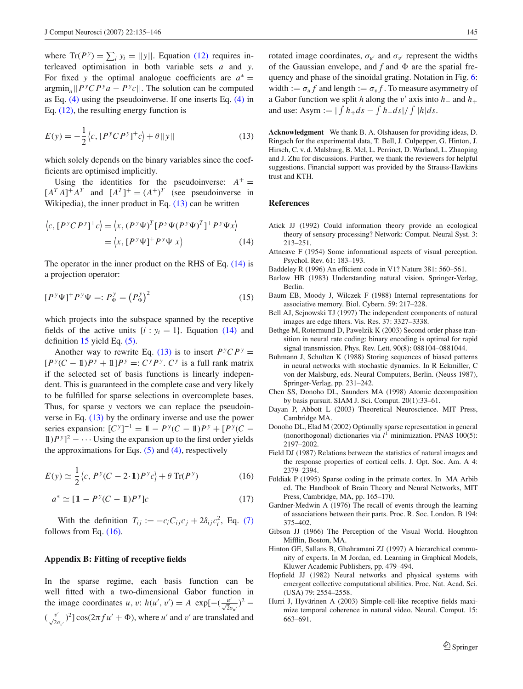where  $\text{Tr}(P^y) = \sum_i y_i = ||y||$ . Equation [\(12\)](#page-9-0) requires interleaved optimisation in both variable sets *a* and *y*. For fixed *y* the optimal analogue coefficients are  $a^* =$  $\argmin_a ||P^y C P^y a - P^y c||$ . The solution can be computed as Eq. [\(4\)](#page-3-2) using the pseudoinverse. If one inserts Eq. [\(4\)](#page-3-2) in Eq.  $(12)$ , the resulting energy function is

$$
E(y) = -\frac{1}{2} \langle c, [P^y C P^y]^+ c \rangle + \theta ||y|| \tag{13}
$$

<span id="page-10-14"></span>which solely depends on the binary variables since the coefficients are optimised implicitly.

Using the identities for the pseudoinverse:  $A^+$  =  $[A^T A]^+ A^T$  and  $[A^T]^+ = (A^+)^T$  (see pseudoinverse in Wikipedia), the inner product in Eq. (13) can be written

$$
\langle c, [P^y C P^y]^+ c \rangle = \langle x, (P^y \Psi)^T [P^y \Psi (P^y \Psi)^T]^+ P^y \Psi x \rangle
$$
  
=  $\langle x, [P^y \Psi]^+ P^y \Psi x \rangle$  (14)

The operator in the inner product on the RHS of Eq. (14) is a projection operator:

$$
[P^y \Psi]^+ P^y \Psi =: P^y_{\Psi} = (P^y_{\Psi})^2 \tag{15}
$$

<span id="page-10-13"></span>which projects into the subspace spanned by the receptive fields of the active units  $\{i : y_i = 1\}$ . Equation (14) and definition 15 yield Eq. [\(5\).](#page-3-0)

Another way to rewrite Eq. (13) is to insert  $P^y C P^y =$  $[P<sup>y</sup>(C - 11)P<sup>y</sup> + 11]P<sup>y</sup> =: C<sup>y</sup>P<sup>y</sup>$ .  $C<sup>y</sup>$  is a full rank matrix if the selected set of basis functions is linearly independent. This is guaranteed in the complete case and very likely to be fulfilled for sparse selections in overcomplete bases. Thus, for sparse *y* vectors we can replace the pseudoinverse in Eq. (13) by the ordinary inverse and use the power series expansion:  $[C^y]^{-1} = 1 - P^y(C - 1)P^y + [P^y(C - 1)]$  $(1)P^y$ <sup>2</sup> – · · · Using the expansion up to the first order yields the approximations for Eqs.  $(5)$  and  $(4)$ , respectively

$$
E(y) \simeq \frac{1}{2} \langle c, P^y (C - 2 \cdot 1) P^y c \rangle + \theta \operatorname{Tr}(P^y)
$$
 (16)

$$
a^* \simeq [\mathbb{1} - P^{\mathcal{Y}}(C - \mathbb{1})P^{\mathcal{Y}}]c \tag{17}
$$

<span id="page-10-16"></span>With the definition  $T_{ij} := -c_i C_{ij} c_j + 2\delta_{ij} c_i^2$ , Eq. [\(7\)](#page-4-0) follows from Eq. (16).

## **Appendix B: Fitting of receptive fields**

In the sparse regime, each basis function can be well fitted with a two-dimensional Gabor function in the image coordinates *u*, *v*:  $h(u', v') = A \exp[-(\frac{u'}{\sqrt{2}\sigma_{u'}})^2 (\frac{v'}{\sqrt{2}\sigma_{v'}})^2] \cos(2\pi f u' + \Phi)$ , where *u'* and *v'* are translated and

rotated image coordinates,  $\sigma_{u'}$  and  $\sigma_{v'}$  represent the widths of the Gaussian envelope, and  $f$  and  $\Phi$  are the spatial frequency and phase of the sinoidal grating. Notation in Fig. [6:](#page-7-1) width  $:= \sigma_u f$  and length  $:= \sigma_v f$ . To measure asymmetry of a Gabor function we split *h* along the v' axis into  $h_$  and  $h_+$ and use: Asym :=  $| \int h_+ ds - \int h_- ds | / \int |h| ds$ .

**Acknowledgment** We thank B. A. Olshausen for providing ideas, D. Ringach for the experimental data, T. Bell, J. Culpepper, G. Hinton, J. Hirsch, C. v. d. Malsburg, B. Mel, L. Perrinet, D. Warland, L. Zhaoping and J. Zhu for discussions. Further, we thank the reviewers for helpful suggestions. Financial support was provided by the Strauss-Hawkins trust and KTH.

#### **References**

- Atick JJ (1992) Could information theory provide an ecological theory of sensory processing? Network: Comput. Neural Syst. 3: 213–251.
- <span id="page-10-4"></span>Attneave F (1954) Some informational aspects of visual perception. Psychol. Rev. 61: 183–193.
- <span id="page-10-2"></span>Baddeley R (1996) An efficient code in V1? Nature 381: 560–561.
- <span id="page-10-8"></span>Barlow HB (1983) Understanding natural vision. Springer-Verlag, Berlin.
- <span id="page-10-3"></span>Baum EB, Moody J, Wilczek F (1988) Internal representations for associative memory. Biol. Cybern. 59: 217–228.
- <span id="page-10-10"></span>Bell AJ, Sejnowski TJ (1997) The independent components of natural images are edge filters. Vis. Res. 37: 3327–3338.
- <span id="page-10-1"></span>Bethge M, Rotermund D, Pawelzik K (2003) Second order phase transition in neural rate coding: binary encoding is optimal for rapid signal transmission. Phys. Rev. Lett. 90(8): 088104–0881044.
- <span id="page-10-17"></span>Buhmann J, Schulten K (1988) Storing sequences of biased patterns in neural networks with stochastic dynamics. In R Eckmiller, C von der Malsburg, eds. Neural Computers, Berlin. (Neuss 1987), Springer-Verlag, pp. 231–242.
- <span id="page-10-11"></span>Chen SS, Donoho DL, Saunders MA (1998) Atomic decomposition by basis pursuit. SIAM J. Sci. Comput. 20(1):33–61.
- <span id="page-10-12"></span>Dayan P, Abbott L (2003) Theoretical Neuroscience. MIT Press, Cambridge MA.
- <span id="page-10-0"></span>Donoho DL, Elad M (2002) Optimally sparse representation in general (nonorthogonal) dictionaries via *l* <sup>1</sup> minimization. PNAS 100(5): 2197–2002.
- <span id="page-10-19"></span>Field DJ (1987) Relations between the statistics of natural images and the response properties of cortical cells. J. Opt. Soc. Am. A 4: 2379–2394.
- <span id="page-10-6"></span>Földiak P (1995) Sparse coding in the primate cortex. In MA Arbib ed. The Handbook of Brain Theory and Neural Networks, MIT Press, Cambridge, MA, pp. 165–170.
- <span id="page-10-7"></span>Gardner-Medwin A (1976) The recall of events through the learning of associations between their parts. Proc. R. Soc. London. B 194: 375–402.
- <span id="page-10-9"></span>Gibson JJ (1966) The Perception of the Visual World. Houghton Mifflin, Boston, MA.
- <span id="page-10-5"></span>Hinton GE, Sallans B, Ghahramani ZJ (1997) A hierarchical community of experts. In M Jordan, ed. Learning in Graphical Models, Kluwer Academic Publishers, pp. 479–494.
- <span id="page-10-18"></span>Hopfield JJ (1982) Neural networks and physical systems with emergent collective computational abilities. Proc. Nat. Acad. Sci. (USA) 79: 2554–2558.
- <span id="page-10-20"></span><span id="page-10-15"></span>Hurri J, Hyvärinen A (2003) Simple-cell-like receptive fields maximize temporal coherence in natural video. Neural. Comput. 15: 663–691.